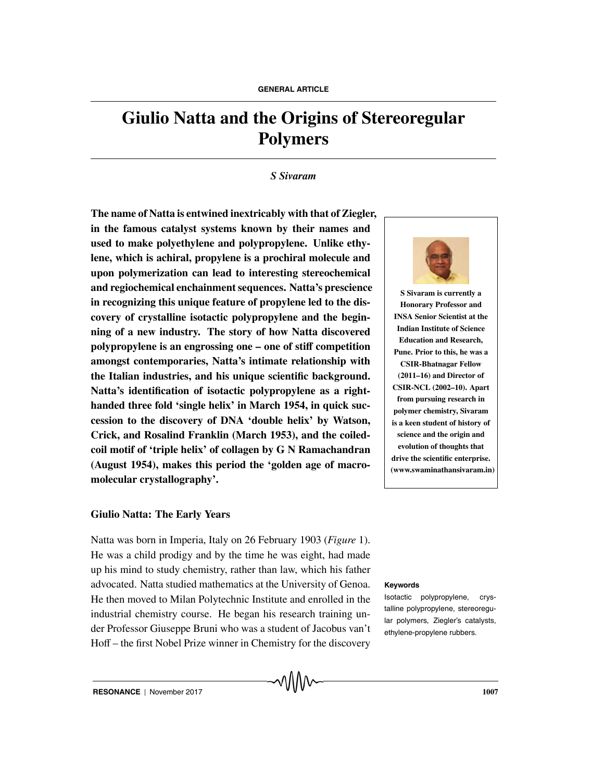# **Giulio Natta and the Origins of Stereoregular Polymers**

### *S Sivaram*

**The name of Natta is entwined inextricably with that of Ziegler, in the famous catalyst systems known by their names and used to make polyethylene and polypropylene. Unlike ethylene, which is achiral, propylene is a prochiral molecule and upon polymerization can lead to interesting stereochemical and regiochemical enchainment sequences. Natta's prescience in recognizing this unique feature of propylene led to the discovery of crystalline isotactic polypropylene and the beginning of a new industry. The story of how Natta discovered polypropylene is an engrossing one – one of sti**ff **competition amongst contemporaries, Natta's intimate relationship with the Italian industries, and his unique scientific background. Natta's identification of isotactic polypropylene as a righthanded three fold 'single helix' in March 1954, in quick succession to the discovery of DNA 'double helix' by Watson, Crick, and Rosalind Franklin (March 1953), and the coiledcoil motif of 'triple helix' of collagen by G N Ramachandran (August 1954), makes this period the 'golden age of macromolecular crystallography'.**



**S Sivaram is currently a Honorary Professor and INSA Senior Scientist at the Indian Institute of Science Education and Research, Pune. Prior to this, he was a CSIR-Bhatnagar Fellow (2011–16) and Director of CSIR-NCL (2002–10). Apart from pursuing research in polymer chemistry, Sivaram is a keen student of history of science and the origin and evolution of thoughts that drive the scientific enterprise. (www.swaminathansivaram.in)**

# **Giulio Natta: The Early Years**

Natta was born in Imperia, Italy on 26 February 1903 (*Figure* 1). He was a child prodigy and by the time he was eight, had made up his mind to study chemistry, rather than law, which his father advocated. Natta studied mathematics at the University of Genoa. **Keywords** He then moved to Milan Polytechnic Institute and enrolled in the industrial chemistry course. He began his research training under Professor Giuseppe Bruni who was a student of Jacobus van't Hoff – the first Nobel Prize winner in Chemistry for the discovery

Isotactic polypropylene, crystalline polypropylene, stereoregular polymers, Ziegler's catalysts, ethylene-propylene rubbers.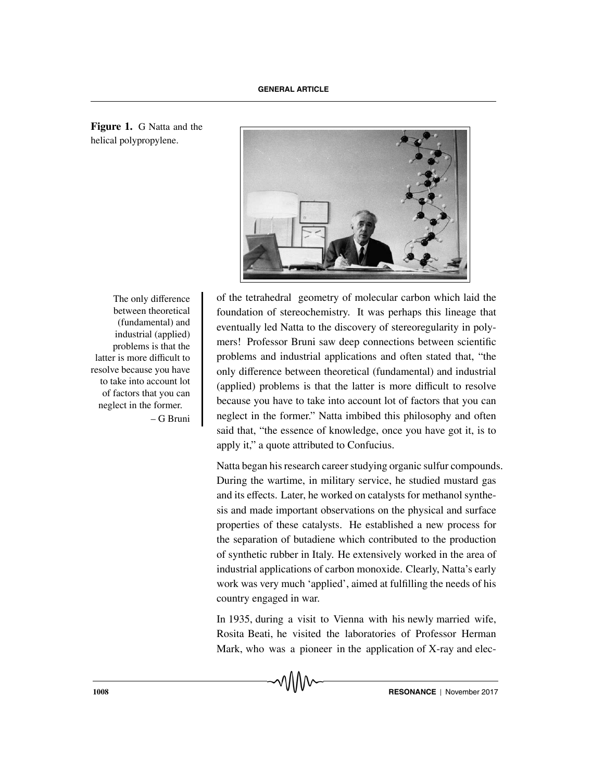

**Figure 1.** G Natta and the helical polypropylene.

> of the tetrahedral geometry of molecular carbon which laid the foundation of stereochemistry. It was perhaps this lineage that eventually led Natta to the discovery of stereoregularity in polymers! Professor Bruni saw deep connections between scientific problems and industrial applications and often stated that, "the only difference between theoretical (fundamental) and industrial (applied) problems is that the latter is more difficult to resolve because you have to take into account lot of factors that you can neglect in the former." Natta imbibed this philosophy and often said that, "the essence of knowledge, once you have got it, is to apply it," a quote attributed to Confucius.

Natta began his research career studying organic sulfur compounds. During the wartime, in military service, he studied mustard gas and its effects. Later, he worked on catalysts for methanol synthesis and made important observations on the physical and surface properties of these catalysts. He established a new process for the separation of butadiene which contributed to the production of synthetic rubber in Italy. He extensively worked in the area of industrial applications of carbon monoxide. Clearly, Natta's early work was very much 'applied', aimed at fulfilling the needs of his country engaged in war.

In 1935, during a visit to Vienna with his newly married wife, Rosita Beati, he visited the laboratories of Professor Herman Mark, who was a pioneer in the application of X-ray and elec-

The only difference between theoretical (fundamental) and industrial (applied) problems is that the latter is more difficult to resolve because you have to take into account lot of factors that you can neglect in the former.

– G Bruni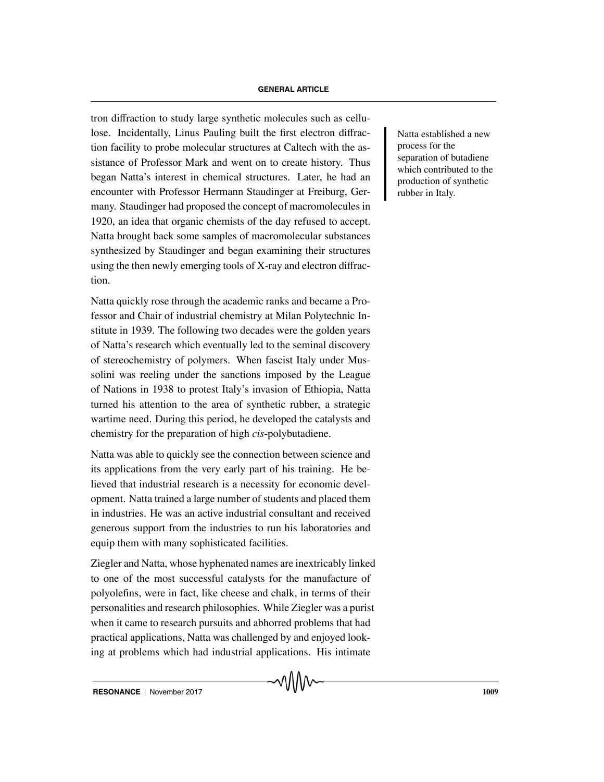tron diffraction to study large synthetic molecules such as cellulose. Incidentally, Linus Pauling built the first electron diffrac-<br>Natta established a new tion facility to probe molecular structures at Caltech with the assistance of Professor Mark and went on to create history. Thus began Natta's interest in chemical structures. Later, he had an encounter with Professor Hermann Staudinger at Freiburg, Germany. Staudinger had proposed the concept of macromolecules in 1920, an idea that organic chemists of the day refused to accept. Natta brought back some samples of macromolecular substances synthesized by Staudinger and began examining their structures using the then newly emerging tools of X-ray and electron diffraction.

Natta quickly rose through the academic ranks and became a Professor and Chair of industrial chemistry at Milan Polytechnic Institute in 1939. The following two decades were the golden years of Natta's research which eventually led to the seminal discovery of stereochemistry of polymers. When fascist Italy under Mussolini was reeling under the sanctions imposed by the League of Nations in 1938 to protest Italy's invasion of Ethiopia, Natta turned his attention to the area of synthetic rubber, a strategic wartime need. During this period, he developed the catalysts and chemistry for the preparation of high *cis*-polybutadiene.

Natta was able to quickly see the connection between science and its applications from the very early part of his training. He believed that industrial research is a necessity for economic development. Natta trained a large number of students and placed them in industries. He was an active industrial consultant and received generous support from the industries to run his laboratories and equip them with many sophisticated facilities.

Ziegler and Natta, whose hyphenated names are inextricably linked to one of the most successful catalysts for the manufacture of polyolefins, were in fact, like cheese and chalk, in terms of their personalities and research philosophies. While Ziegler was a purist when it came to research pursuits and abhorred problems that had practical applications, Natta was challenged by and enjoyed looking at problems which had industrial applications. His intimate

process for the separation of butadiene which contributed to the production of synthetic rubber in Italy.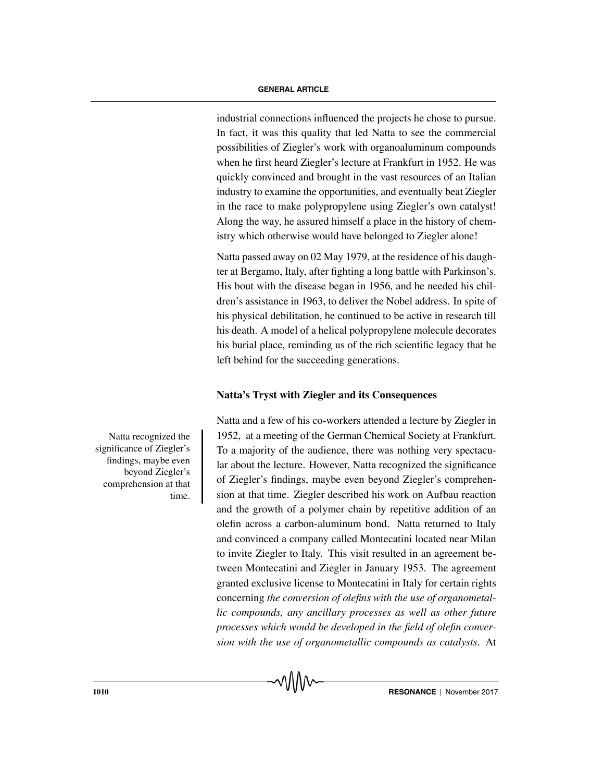industrial connections influenced the projects he chose to pursue. In fact, it was this quality that led Natta to see the commercial possibilities of Ziegler's work with organoaluminum compounds when he first heard Ziegler's lecture at Frankfurt in 1952. He was quickly convinced and brought in the vast resources of an Italian industry to examine the opportunities, and eventually beat Ziegler in the race to make polypropylene using Ziegler's own catalyst! Along the way, he assured himself a place in the history of chemistry which otherwise would have belonged to Ziegler alone!

Natta passed away on 02 May 1979, at the residence of his daughter at Bergamo, Italy, after fighting a long battle with Parkinson's. His bout with the disease began in 1956, and he needed his children's assistance in 1963, to deliver the Nobel address. In spite of his physical debilitation, he continued to be active in research till his death. A model of a helical polypropylene molecule decorates his burial place, reminding us of the rich scientific legacy that he left behind for the succeeding generations.

# **Natta's Tryst with Ziegler and its Consequences**

Natta and a few of his co-workers attended a lecture by Ziegler in 1952, at a meeting of the German Chemical Society at Frankfurt. To a majority of the audience, there was nothing very spectacular about the lecture. However, Natta recognized the significance of Ziegler's findings, maybe even beyond Ziegler's comprehension at that time. Ziegler described his work on Aufbau reaction and the growth of a polymer chain by repetitive addition of an olefin across a carbon-aluminum bond. Natta returned to Italy and convinced a company called Montecatini located near Milan to invite Ziegler to Italy. This visit resulted in an agreement between Montecatini and Ziegler in January 1953. The agreement granted exclusive license to Montecatini in Italy for certain rights concerning *the conversion of olefins with the use of organometallic compounds, any ancillary processes as well as other future processes which would be developed in the field of olefin conversion with the use of organometallic compounds as catalysts*. At

Natta recognized the significance of Ziegler's findings, maybe even beyond Ziegler's comprehension at that time.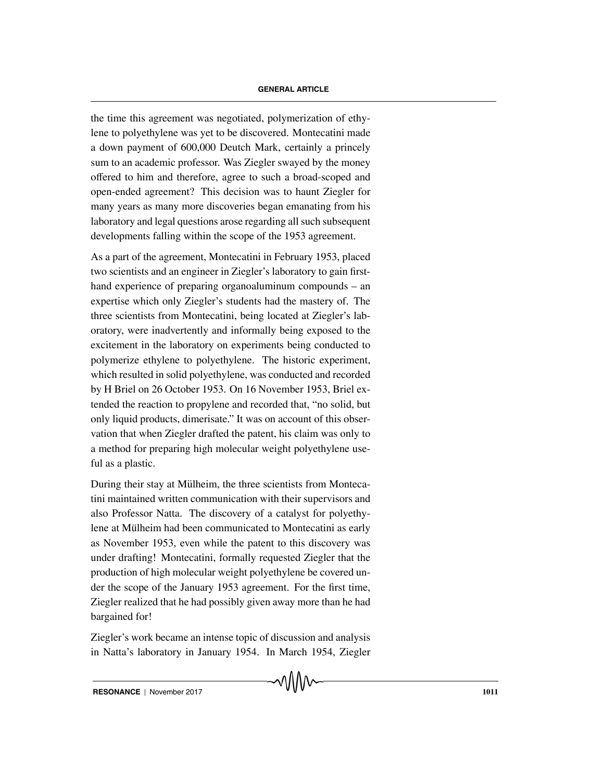the time this agreement was negotiated, polymerization of ethylene to polyethylene was yet to be discovered. Montecatini made a down payment of 600,000 Deutch Mark, certainly a princely sum to an academic professor. Was Ziegler swayed by the money offered to him and therefore, agree to such a broad-scoped and open-ended agreement? This decision was to haunt Ziegler for many years as many more discoveries began emanating from his laboratory and legal questions arose regarding all such subsequent developments falling within the scope of the 1953 agreement.

As a part of the agreement, Montecatini in February 1953, placed two scientists and an engineer in Ziegler's laboratory to gain firsthand experience of preparing organoaluminum compounds – an expertise which only Ziegler's students had the mastery of. The three scientists from Montecatini, being located at Ziegler's laboratory, were inadvertently and informally being exposed to the excitement in the laboratory on experiments being conducted to polymerize ethylene to polyethylene. The historic experiment, which resulted in solid polyethylene, was conducted and recorded by H Briel on 26 October 1953. On 16 November 1953, Briel extended the reaction to propylene and recorded that, "no solid, but only liquid products, dimerisate." It was on account of this observation that when Ziegler drafted the patent, his claim was only to a method for preparing high molecular weight polyethylene useful as a plastic.

During their stay at Mülheim, the three scientists from Montecatini maintained written communication with their supervisors and also Professor Natta. The discovery of a catalyst for polyethylene at Mülheim had been communicated to Montecatini as early as November 1953, even while the patent to this discovery was under drafting! Montecatini, formally requested Ziegler that the production of high molecular weight polyethylene be covered under the scope of the January 1953 agreement. For the first time, Ziegler realized that he had possibly given away more than he had bargained for!

Ziegler's work became an intense topic of discussion and analysis in Natta's laboratory in January 1954. In March 1954, Ziegler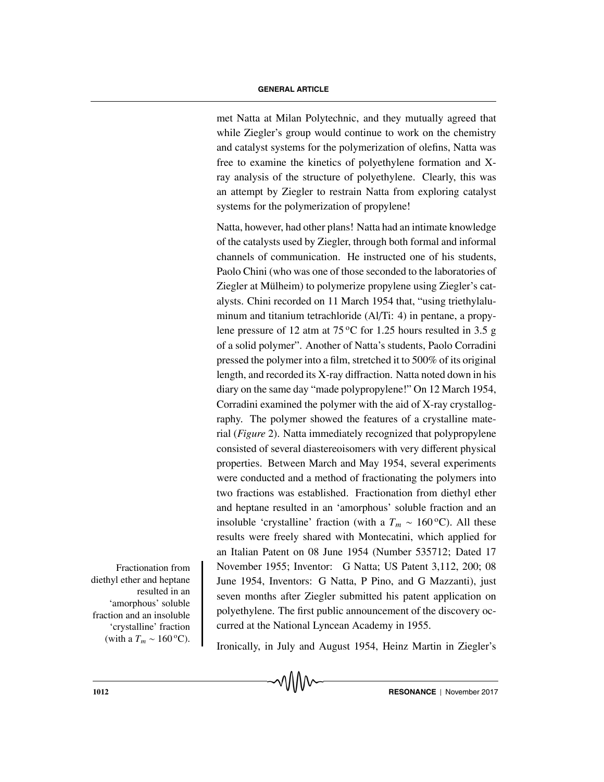met Natta at Milan Polytechnic, and they mutually agreed that while Ziegler's group would continue to work on the chemistry and catalyst systems for the polymerization of olefins, Natta was free to examine the kinetics of polyethylene formation and Xray analysis of the structure of polyethylene. Clearly, this was an attempt by Ziegler to restrain Natta from exploring catalyst systems for the polymerization of propylene!

Natta, however, had other plans! Natta had an intimate knowledge of the catalysts used by Ziegler, through both formal and informal channels of communication. He instructed one of his students, Paolo Chini (who was one of those seconded to the laboratories of Ziegler at Mülheim) to polymerize propylene using Ziegler's catalysts. Chini recorded on 11 March 1954 that, "using triethylaluminum and titanium tetrachloride (Al/Ti: 4) in pentane, a propylene pressure of 12 atm at  $75^{\circ}$ C for 1.25 hours resulted in 3.5 g of a solid polymer". Another of Natta's students, Paolo Corradini pressed the polymer into a film, stretched it to 500% of its original length, and recorded its X-ray diffraction. Natta noted down in his diary on the same day "made polypropylene!" On 12 March 1954, Corradini examined the polymer with the aid of X-ray crystallography. The polymer showed the features of a crystalline material (*Figure* 2). Natta immediately recognized that polypropylene consisted of several diastereoisomers with very different physical properties. Between March and May 1954, several experiments were conducted and a method of fractionating the polymers into two fractions was established. Fractionation from diethyl ether and heptane resulted in an 'amorphous' soluble fraction and an insoluble 'crystalline' fraction (with a  $T_m \sim 160$  °C). All these results were freely shared with Montecatini, which applied for an Italian Patent on 08 June 1954 (Number 535712; Dated 17 Fractionation from November 1955; Inventor: G Natta; US Patent 3,112, 200; 08 June 1954, Inventors: G Natta, P Pino, and G Mazzanti), just seven months after Ziegler submitted his patent application on polyethylene. The first public announcement of the discovery occurred at the National Lyncean Academy in 1955.

diethyl ether and heptane resulted in an 'amorphous' soluble fraction and an insoluble 'crystalline' fraction (with a  $T_m \sim 160$  °C).

Ironically, in July and August 1954, Heinz Martin in Ziegler's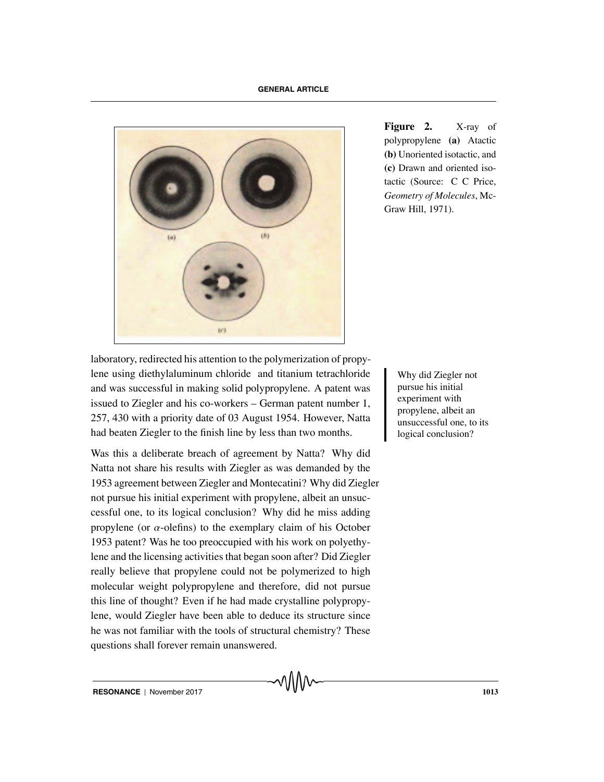

**Figure 2.** X-ray of polypropylene **(a)** Atactic **(b)** Unoriented isotactic, and **(c)** Drawn and oriented isotactic (Source: C C Price, *Geometry of Molecules*, Mc-Graw Hill, 1971).

laboratory, redirected his attention to the polymerization of propylene using diethylaluminum chloride and titanium tetrachloride Why did Ziegler not and was successful in making solid polypropylene. A patent was issued to Ziegler and his co-workers – German patent number 1, 257, 430 with a priority date of 03 August 1954. However, Natta had beaten Ziegler to the finish line by less than two months.

Was this a deliberate breach of agreement by Natta? Why did Natta not share his results with Ziegler as was demanded by the 1953 agreement between Ziegler and Montecatini? Why did Ziegler not pursue his initial experiment with propylene, albeit an unsuccessful one, to its logical conclusion? Why did he miss adding propylene (or  $\alpha$ -olefins) to the exemplary claim of his October 1953 patent? Was he too preoccupied with his work on polyethylene and the licensing activities that began soon after? Did Ziegler really believe that propylene could not be polymerized to high molecular weight polypropylene and therefore, did not pursue this line of thought? Even if he had made crystalline polypropylene, would Ziegler have been able to deduce its structure since he was not familiar with the tools of structural chemistry? These questions shall forever remain unanswered.

pursue his initial experiment with propylene, albeit an unsuccessful one, to its logical conclusion?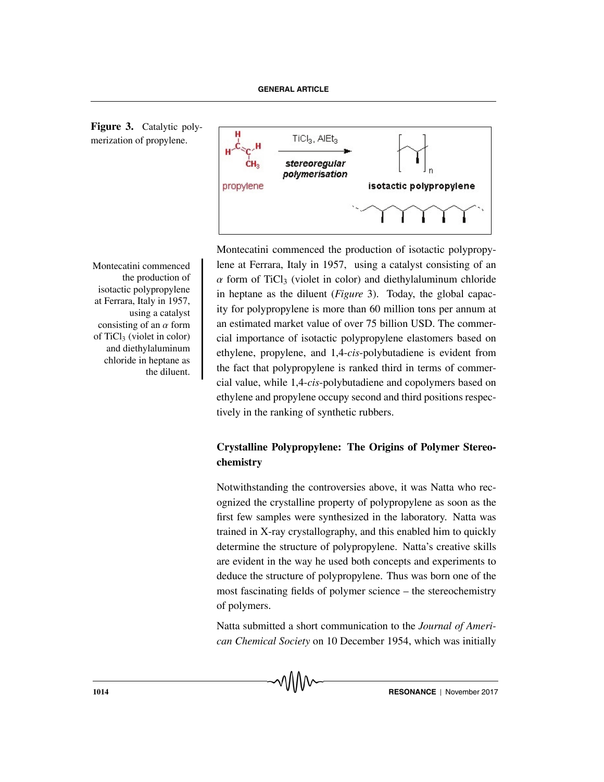**Figure 3.** Catalytic polymerization of propylene.



the production of isotactic polypropylene at Ferrara, Italy in 1957, using a catalyst consisting of an  $\alpha$  form of TiCl3 (violet in color) and diethylaluminum chloride in heptane as the diluent.

Montecatini commenced the production of isotactic polypropy-Montecatini commenced lene at Ferrara, Italy in 1957, using a catalyst consisting of an  $\alpha$  form of TiCl<sub>3</sub> (violet in color) and diethylaluminum chloride in heptane as the diluent (*Figure* 3). Today, the global capacity for polypropylene is more than 60 million tons per annum at an estimated market value of over 75 billion USD. The commercial importance of isotactic polypropylene elastomers based on ethylene, propylene, and 1,4-*cis*-polybutadiene is evident from the fact that polypropylene is ranked third in terms of commercial value, while 1,4-*cis*-polybutadiene and copolymers based on ethylene and propylene occupy second and third positions respectively in the ranking of synthetic rubbers.

# **Crystalline Polypropylene: The Origins of Polymer Stereochemistry**

Notwithstanding the controversies above, it was Natta who recognized the crystalline property of polypropylene as soon as the first few samples were synthesized in the laboratory. Natta was trained in X-ray crystallography, and this enabled him to quickly determine the structure of polypropylene. Natta's creative skills are evident in the way he used both concepts and experiments to deduce the structure of polypropylene. Thus was born one of the most fascinating fields of polymer science – the stereochemistry of polymers.

Natta submitted a short communication to the *Journal of American Chemical Society* on 10 December 1954, which was initially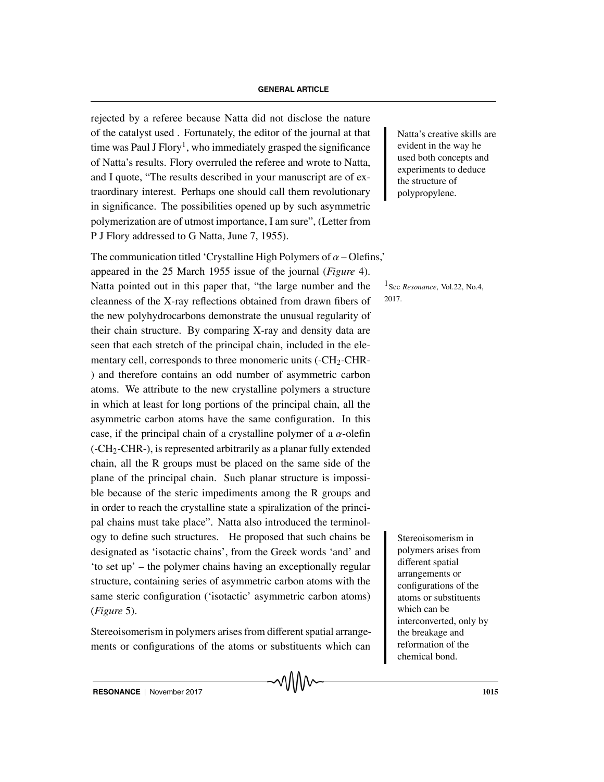rejected by a referee because Natta did not disclose the nature of the catalyst used. Fortunately, the editor of the journal at that Natta's creative skills are time was Paul J Flory<sup>1</sup>, who immediately grasped the significance of Natta's results. Flory overruled the referee and wrote to Natta, and I quote, "The results described in your manuscript are of extraordinary interest. Perhaps one should call them revolutionary in significance. The possibilities opened up by such asymmetric polymerization are of utmost importance, I am sure", (Letter from P J Flory addressed to G Natta, June 7, 1955).

The communication titled 'Crystalline High Polymers of  $\alpha$  – Olefins,' appeared in the 25 March 1955 issue of the journal (*Figure* 4). Natta pointed out in this paper that, "the large number and the <sup>1</sup> See *Resonance*, Vol.22, No.4, cleanness of the X-ray reflections obtained from drawn fibers of the new polyhydrocarbons demonstrate the unusual regularity of their chain structure. By comparing X-ray and density data are seen that each stretch of the principal chain, included in the elementary cell, corresponds to three monomeric units (-CH<sub>2</sub>-CHR-) and therefore contains an odd number of asymmetric carbon atoms. We attribute to the new crystalline polymers a structure in which at least for long portions of the principal chain, all the asymmetric carbon atoms have the same configuration. In this case, if the principal chain of a crystalline polymer of a  $\alpha$ -olefin  $(-CH<sub>2</sub>-CHR<sub>-</sub>)$ , is represented arbitrarily as a planar fully extended chain, all the R groups must be placed on the same side of the plane of the principal chain. Such planar structure is impossible because of the steric impediments among the R groups and in order to reach the crystalline state a spiralization of the principal chains must take place". Natta also introduced the terminology to define such structures. He proposed that such chains be Stereoisomerism in designated as 'isotactic chains', from the Greek words 'and' and 'to set up' – the polymer chains having an exceptionally regular structure, containing series of asymmetric carbon atoms with the same steric configuration ('isotactic' asymmetric carbon atoms) (*Figure* 5).

Stereoisomerism in polymers arises from different spatial arrangements or configurations of the atoms or substituents which can evident in the way he used both concepts and experiments to deduce the structure of polypropylene.

2017.

polymers arises from different spatial arrangements or configurations of the atoms or substituents which can be interconverted, only by the breakage and reformation of the chemical bond.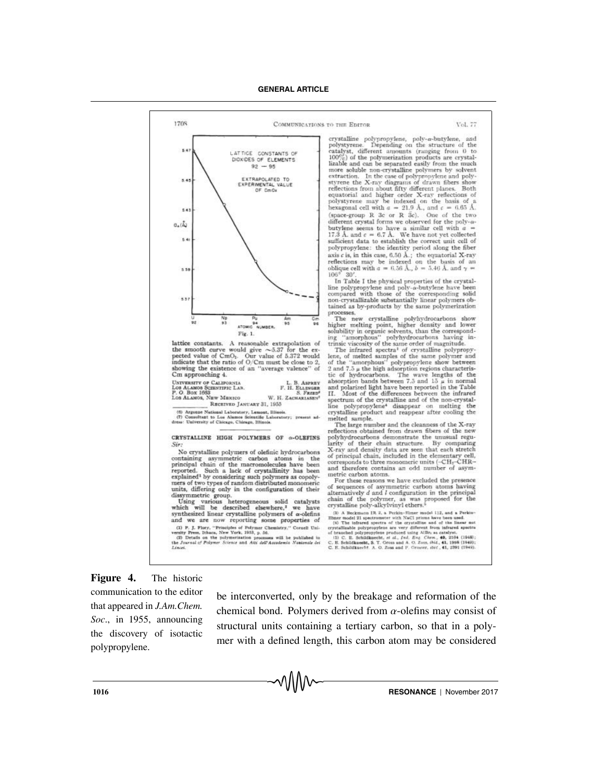

the smooth curve would give  $\sim$  5.37 for the expected value of  $\text{CmO}_3$ . Our value of 5.372 would<br>indicate that the ratio of O/Cm must be close to 2, showing the existence of an "average valence" of Cm approaching 4.

| UNIVERSITY OF CALIFORNIA<br>LOS ALAMOS SCIENTIFIC LAB. | L. B. ASPREY<br>F. H. ELLINGER |
|--------------------------------------------------------|--------------------------------|
| P. O. Box 1663                                         | S. Furunt                      |
| LOS ALAMOS, NEW MEXICO                                 | W. H. ZACHARIASEN <sup>2</sup> |
| RECEIVED JANUARY 31, 1955                              |                                |

(6) Argonne National Laboratory, Lemont, Illinois

(7) Consultant to Los Alamos Scientific La<br>dress: University of Chicago, Chicago, Illinois. oratory; present ad-

# CRYSTALLINE HIGH POLYMERS OF «-OLEFINS

No crystalline polymers of olefinic hydrocarbons containing asymmetric carbon atoms in the principal chain of the macromolecules have been reported. Such a lack of crystallinity has been explained<sup>1</sup> by considering such polymers as copoly-<br>mers of two types of random distributed monomeric units, differing only in the configuration of their

dissymmetric group.<br>
Using various heterogeneous solid catalysts<br>
which will be described elsewhere,<sup>2</sup> we have synthesized linear crystalline polymers of a-olefins and we are now reporting some properties of

(1) P. J. Flory, "Principles of Polymer Chemistry," Cornell University Press, Ithaca, New York, 1953, p. 56. (2) Details on the polymerization processes will be published in the Journal of Polymer Science and Atti dell'Accodemia Nationale dei

**COMMUNICATIONS TO THE EDITOR** 



crystalline polypropylene, poly-a-butylene, and<br>polystyrene. Depending on the structure of the<br>catalyst, different amounts (ranging from 0 to  $100<sup>6</sup>$ c) of the polymerization products are crystallizable and can be separated easily from the much more soluble non-crystalline polymers by solvent extraction. In the case of polypropylene and poly-<br>styrene the X-ray diagrams of drawn fibers show reflections from about fifty different planes. Both equatorial and higher order X-ray reflections of polystyrene may be indexed on the basis of a hexagonal cell with  $a = 21.9$  Å., and  $c = 6.65$  Å. (space-group R 3c or R 3c). One of the two different crystal forms we observed for the poly-abutylene seems to have a similar cell with  $a = 17.3$  Å, and  $c = 6.7$  Å. We have not yet collected sufficient data to establish the correct unit cell of polypropylene: the identity period along the fiber axis  $c$  is, in this case, 6.50 Å.; the equatorial X-ray reflections may be indexed on the basis of an oblique cell with  $a = 6.56$  Å,  $b = 5.46$  Å, and  $\gamma$ 1065 30

In Table I the physical properties of the crystalline polypropylene and poly-a-butylene have been<br>compared with those of the corresponding solid non-crystallizable substantially linear polymers obtained as by-products by the same polymerization processes.

The new crystalline polyhydrocarbons higher melting point, higher density and lower solubility in organic solvents, than the corresponding "amorphous" polyhydrocarbons having intrinsic viscosity of the same order of magnitude

The infrared spectra<sup>1</sup> of crystalline polypropy lene, of melted samples of the same polymer and<br>of the "amorphous" polypropylene show between of the "amorphous" polypropylene show between<br>2 and 7.5  $\mu$  the high adsorption regions characteris- $\frac{1}{2}$  and 7.0 y tue may aussi proton regions. The wave lengths of the absorption bands between 7.5 and 15  $\mu$  in normal and polarized light have been reported in the Table II. spectrum of the crystalline and of the non-crystalline polypropylene<sup>4</sup> disappear on melting the crystalline product and reappear after cooling the melted sample.

The large number and the cleanness of the X-ray reflections obtained from drawn fibers of the new polyhydrocarbons demonstrate the unusual regularity of their chain structure. By comparing<br>X-ray and density data are seen that each stretch of principal chain, included in the elementary cell, corresponds to three monomeric units (-CH2-CHRand therefore contains an odd number of asymmetric carbon atoms.

For these reasons we have excluded the presence of sequences of asymmetric carbon atoms having alternatively  $d$  and  $l$  configuration in the principal chain of the polymer, as was proposed for the<br>crystalline poly-alkylvinylethers.<sup>3</sup>

(3) A Beckmann IR 2, a Perkin-Elmer model 112, and a Perkin-(3) A Heckmann IR z, a Perkin-Finner model 11, sand x Perkins (3) A Heckmann IR z, and the crystallizable polypropyles are the exyralities and of this linear nucleon (system) or expectations are very different from infrar

#### **Figure 4.** The historic

communication to the editor that appeared in *J.Am.Chem. Soc*., in 1955, announcing the discovery of isotactic polypropylene.

be interconverted, only by the breakage and reformation of the chemical bond. Polymers derived from  $\alpha$ -olefins may consist of structural units containing a tertiary carbon, so that in a polymer with a defined length, this carbon atom may be considered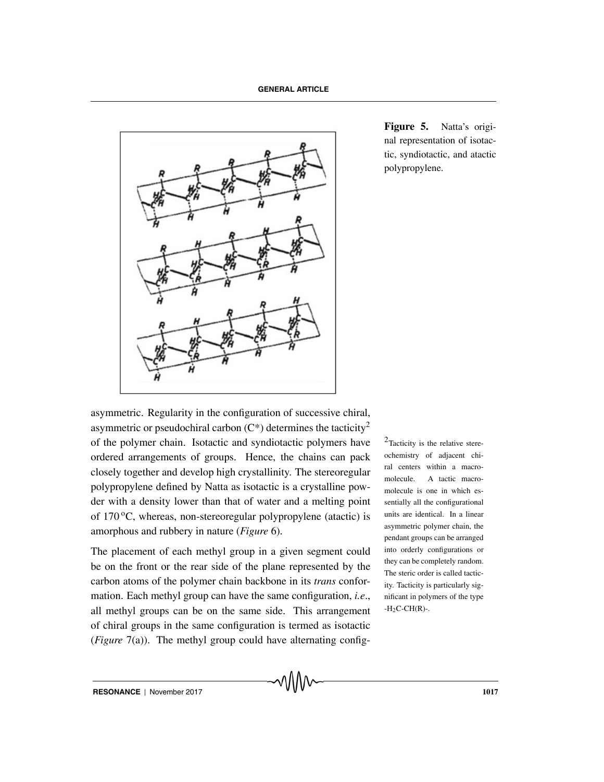

**Figure 5.** Natta's original representation of isotactic, syndiotactic, and atactic polypropylene.

asymmetric. Regularity in the configuration of successive chiral, asymmetric or pseudochiral carbon  $(C^*)$  determines the tacticity<sup>2</sup> of the polymer chain. Isotactic and syndiotactic polymers have  $2$ Tacticity is the relative stereordered arrangements of groups. Hence, the chains can pack closely together and develop high crystallinity. The stereoregular polypropylene defined by Natta as isotactic is a crystalline powder with a density lower than that of water and a melting point of  $170^{\circ}$ C, whereas, non-stereoregular polypropylene (atactic) is amorphous and rubbery in nature (*Figure* 6).

The placement of each methyl group in a given segment could be on the front or the rear side of the plane represented by the carbon atoms of the polymer chain backbone in its *trans* conformation. Each methyl group can have the same configuration, *i.e*., all methyl groups can be on the same side. This arrangement of chiral groups in the same configuration is termed as isotactic (*Figure* 7(a)). The methyl group could have alternating config-

ochemistry of adjacent chiral centers within a macromolecule. A tactic macromolecule is one in which essentially all the configurational units are identical. In a linear asymmetric polymer chain, the pendant groups can be arranged into orderly configurations or they can be completely random. The steric order is called tacticity. Tacticity is particularly significant in polymers of the type  $-H_2C-CH(R)$ -.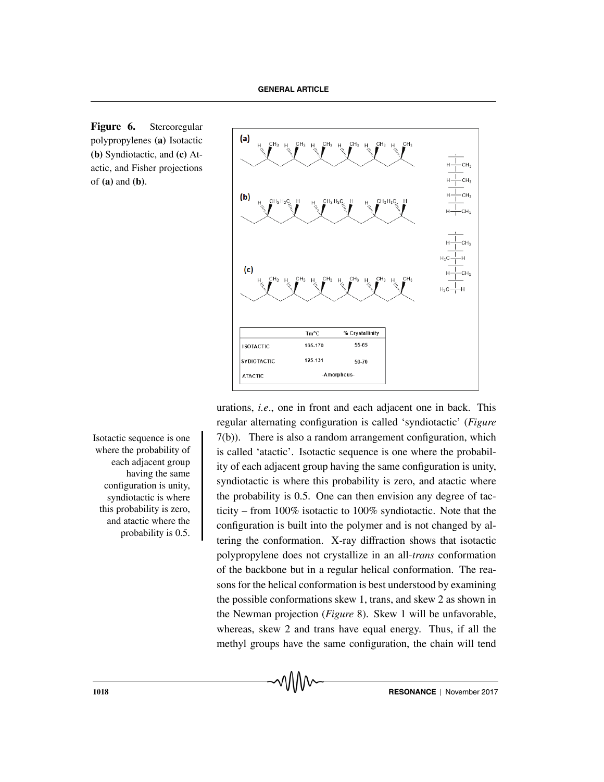**Figure 6.** Stereoregular polypropylenes **(a)** Isotactic **(b)** Syndiotactic, and **(c)** Atactic, and Fisher projections of **(a)** and **(b)**.



urations, *i.e*., one in front and each adjacent one in back. This regular alternating configuration is called 'syndiotactic' (*Figure*  $7(b)$ ). There is also a random arrangement configuration, which is called 'atactic'. Isotactic sequence is one where the probability of each adjacent group having the same configuration is unity, syndiotactic is where this probability is zero, and atactic where the probability is 0.5. One can then envision any degree of tacticity – from 100% isotactic to 100% syndiotactic. Note that the configuration is built into the polymer and is not changed by altering the conformation. X-ray diffraction shows that isotactic polypropylene does not crystallize in an all-*trans* conformation of the backbone but in a regular helical conformation. The reasons for the helical conformation is best understood by examining the possible conformations skew 1, trans, and skew 2 as shown in the Newman projection (*Figure* 8). Skew 1 will be unfavorable, whereas, skew 2 and trans have equal energy. Thus, if all the methyl groups have the same configuration, the chain will tend

Isotactic sequence is one. where the probability of each adjacent group having the same configuration is unity, syndiotactic is where this probability is zero, and atactic where the probability is 0.5.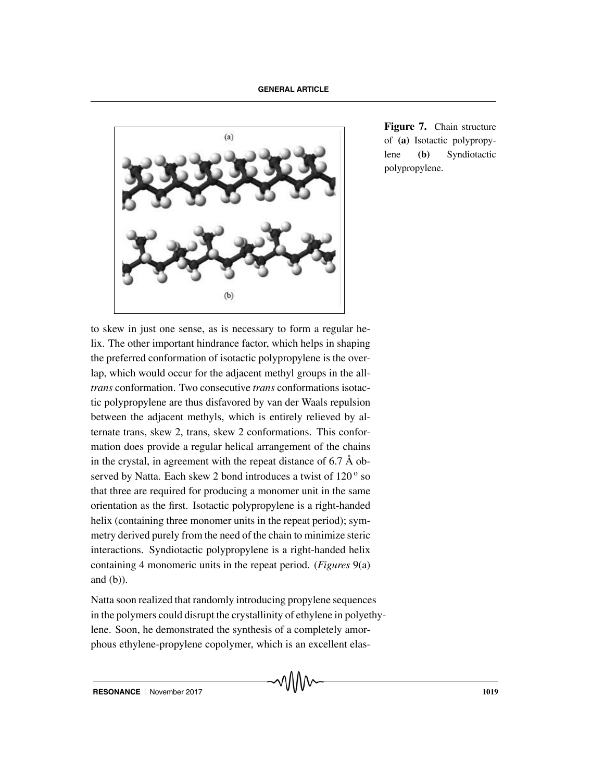

**Figure 7.** Chain structure of **(a)** Isotactic polypropylene **(b)** Syndiotactic polypropylene.

to skew in just one sense, as is necessary to form a regular helix. The other important hindrance factor, which helps in shaping the preferred conformation of isotactic polypropylene is the overlap, which would occur for the adjacent methyl groups in the all*trans* conformation. Two consecutive *trans* conformations isotactic polypropylene are thus disfavored by van der Waals repulsion between the adjacent methyls, which is entirely relieved by alternate trans, skew 2, trans, skew 2 conformations. This conformation does provide a regular helical arrangement of the chains in the crystal, in agreement with the repeat distance of 6.7 Å observed by Natta. Each skew 2 bond introduces a twist of  $120^{\circ}$  so that three are required for producing a monomer unit in the same orientation as the first. Isotactic polypropylene is a right-handed helix (containing three monomer units in the repeat period); symmetry derived purely from the need of the chain to minimize steric interactions. Syndiotactic polypropylene is a right-handed helix containing 4 monomeric units in the repeat period. (*Figures* 9(a) and  $(b)$ ).

Natta soon realized that randomly introducing propylene sequences in the polymers could disrupt the crystallinity of ethylene in polyethylene. Soon, he demonstrated the synthesis of a completely amorphous ethylene-propylene copolymer, which is an excellent elas-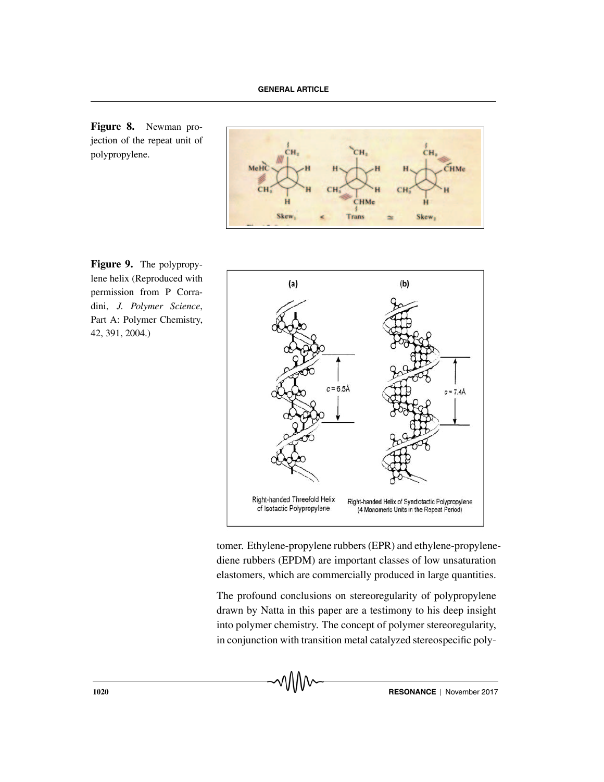**Figure 8.** Newman projection of the repeat unit of polypropylene.



**Figure 9.** The polypropylene helix (Reproduced with permission from P Corradini, *J. Polymer Science*, Part A: Polymer Chemistry, 42, 391, 2004.)



tomer. Ethylene-propylene rubbers (EPR) and ethylene-propylenediene rubbers (EPDM) are important classes of low unsaturation elastomers, which are commercially produced in large quantities.

The profound conclusions on stereoregularity of polypropylene drawn by Natta in this paper are a testimony to his deep insight into polymer chemistry. The concept of polymer stereoregularity, in conjunction with transition metal catalyzed stereospecific poly-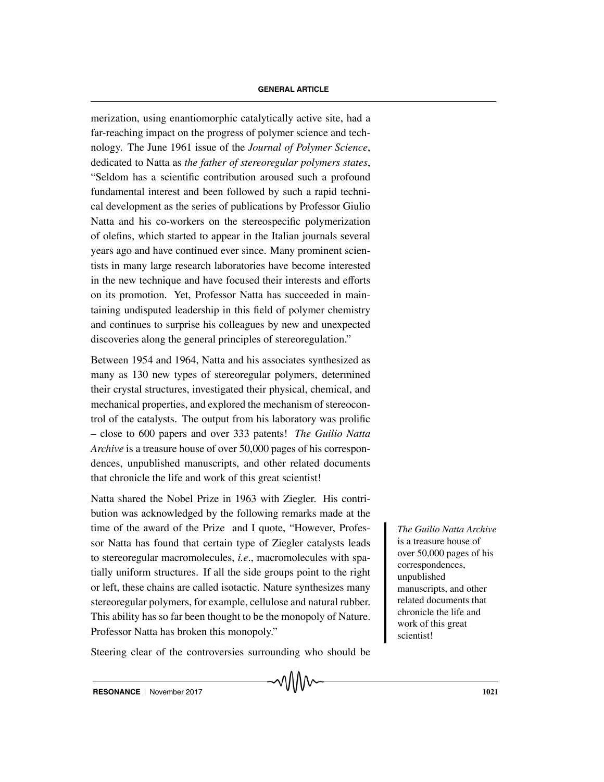merization, using enantiomorphic catalytically active site, had a far-reaching impact on the progress of polymer science and technology. The June 1961 issue of the *Journal of Polymer Science*, dedicated to Natta as *the father of stereoregular polymers states*, "Seldom has a scientific contribution aroused such a profound fundamental interest and been followed by such a rapid technical development as the series of publications by Professor Giulio Natta and his co-workers on the stereospecific polymerization of olefins, which started to appear in the Italian journals several years ago and have continued ever since. Many prominent scientists in many large research laboratories have become interested in the new technique and have focused their interests and efforts on its promotion. Yet, Professor Natta has succeeded in maintaining undisputed leadership in this field of polymer chemistry and continues to surprise his colleagues by new and unexpected discoveries along the general principles of stereoregulation."

Between 1954 and 1964, Natta and his associates synthesized as many as 130 new types of stereoregular polymers, determined their crystal structures, investigated their physical, chemical, and mechanical properties, and explored the mechanism of stereocontrol of the catalysts. The output from his laboratory was prolific – close to 600 papers and over 333 patents! *The Guilio Natta Archive* is a treasure house of over 50,000 pages of his correspondences, unpublished manuscripts, and other related documents that chronicle the life and work of this great scientist!

Natta shared the Nobel Prize in 1963 with Ziegler. His contribution was acknowledged by the following remarks made at the time of the award of the Prize and I quote, "However, Profes- The Guilio Natta Archive sor Natta has found that certain type of Ziegler catalysts leads to stereoregular macromolecules, *i.e*., macromolecules with spatially uniform structures. If all the side groups point to the right or left, these chains are called isotactic. Nature synthesizes many stereoregular polymers, for example, cellulose and natural rubber. This ability has so far been thought to be the monopoly of Nature. Professor Natta has broken this monopoly."

Steering clear of the controversies surrounding who should be

is a treasure house of over 50,000 pages of his correspondences, unpublished manuscripts, and other related documents that chronicle the life and work of this great scientist!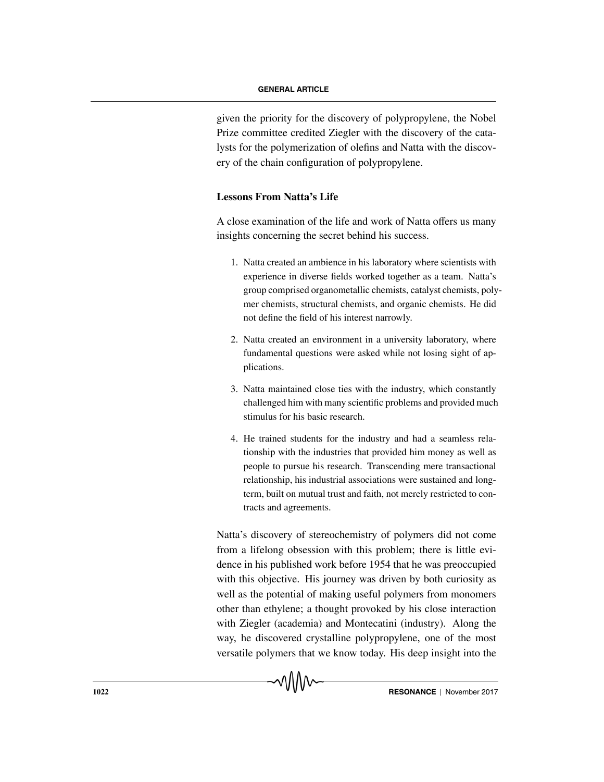given the priority for the discovery of polypropylene, the Nobel Prize committee credited Ziegler with the discovery of the catalysts for the polymerization of olefins and Natta with the discovery of the chain configuration of polypropylene.

# **Lessons From Natta's Life**

A close examination of the life and work of Natta offers us many insights concerning the secret behind his success.

- 1. Natta created an ambience in his laboratory where scientists with experience in diverse fields worked together as a team. Natta's group comprised organometallic chemists, catalyst chemists, polymer chemists, structural chemists, and organic chemists. He did not define the field of his interest narrowly.
- 2. Natta created an environment in a university laboratory, where fundamental questions were asked while not losing sight of applications.
- 3. Natta maintained close ties with the industry, which constantly challenged him with many scientific problems and provided much stimulus for his basic research.
- 4. He trained students for the industry and had a seamless relationship with the industries that provided him money as well as people to pursue his research. Transcending mere transactional relationship, his industrial associations were sustained and longterm, built on mutual trust and faith, not merely restricted to contracts and agreements.

Natta's discovery of stereochemistry of polymers did not come from a lifelong obsession with this problem; there is little evidence in his published work before 1954 that he was preoccupied with this objective. His journey was driven by both curiosity as well as the potential of making useful polymers from monomers other than ethylene; a thought provoked by his close interaction with Ziegler (academia) and Montecatini (industry). Along the way, he discovered crystalline polypropylene, one of the most versatile polymers that we know today. His deep insight into the